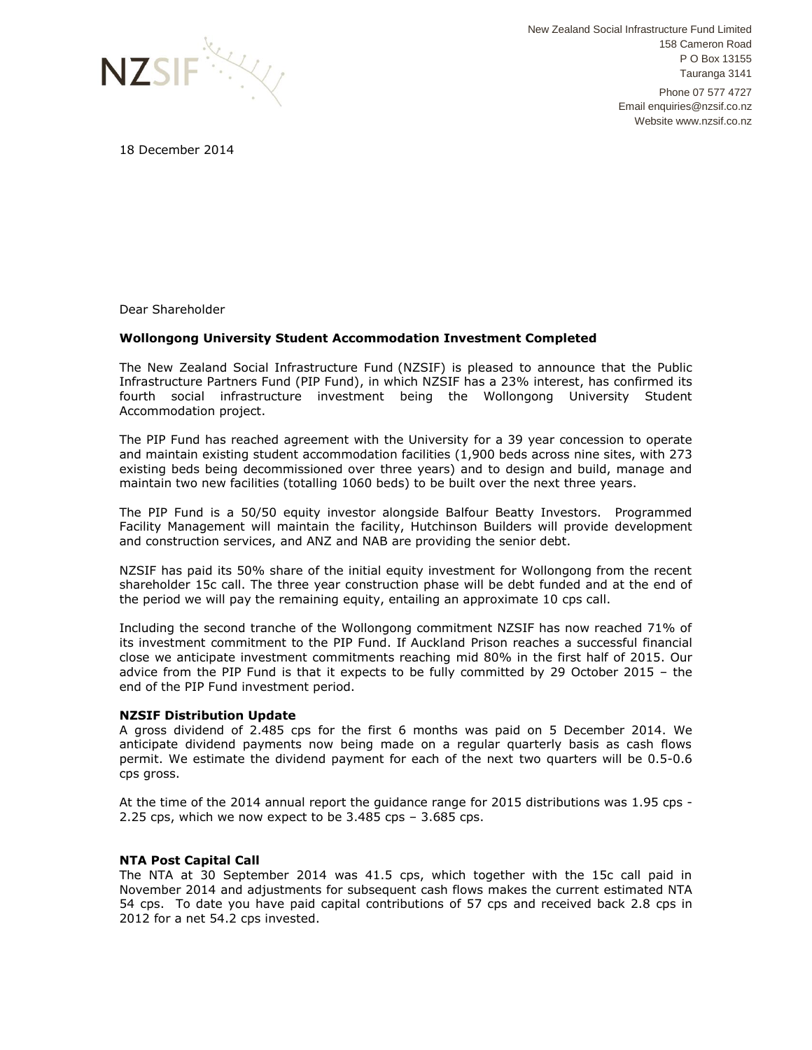

New Zealand Social Infrastructure Fund Limited 158 Cameron Road P O Box 13155 Tauranga 3141 Phone 07 577 4727 Email enquiries@nzsif.co.nz Website www.nzsif.co.nz

18 December 2014

Dear Shareholder

## **Wollongong University Student Accommodation Investment Completed**

The New Zealand Social Infrastructure Fund (NZSIF) is pleased to announce that the Public Infrastructure Partners Fund (PIP Fund), in which NZSIF has a 23% interest, has confirmed its fourth social infrastructure investment being the Wollongong University Student Accommodation project.

The PIP Fund has reached agreement with the University for a 39 year concession to operate and maintain existing student accommodation facilities (1,900 beds across nine sites, with 273 existing beds being decommissioned over three years) and to design and build, manage and maintain two new facilities (totalling 1060 beds) to be built over the next three years.

The PIP Fund is a 50/50 equity investor alongside Balfour Beatty Investors. Programmed Facility Management will maintain the facility, Hutchinson Builders will provide development and construction services, and ANZ and NAB are providing the senior debt.

NZSIF has paid its 50% share of the initial equity investment for Wollongong from the recent shareholder 15c call. The three year construction phase will be debt funded and at the end of the period we will pay the remaining equity, entailing an approximate 10 cps call.

Including the second tranche of the Wollongong commitment NZSIF has now reached 71% of its investment commitment to the PIP Fund. If Auckland Prison reaches a successful financial close we anticipate investment commitments reaching mid 80% in the first half of 2015. Our advice from the PIP Fund is that it expects to be fully committed by 29 October 2015 – the end of the PIP Fund investment period.

## **NZSIF Distribution Update**

A gross dividend of 2.485 cps for the first 6 months was paid on 5 December 2014. We anticipate dividend payments now being made on a regular quarterly basis as cash flows permit. We estimate the dividend payment for each of the next two quarters will be 0.5-0.6 cps gross.

At the time of the 2014 annual report the guidance range for 2015 distributions was 1.95 cps - 2.25 cps, which we now expect to be 3.485 cps – 3.685 cps.

## **NTA Post Capital Call**

The NTA at 30 September 2014 was 41.5 cps, which together with the 15c call paid in November 2014 and adjustments for subsequent cash flows makes the current estimated NTA 54 cps. To date you have paid capital contributions of 57 cps and received back 2.8 cps in 2012 for a net 54.2 cps invested.